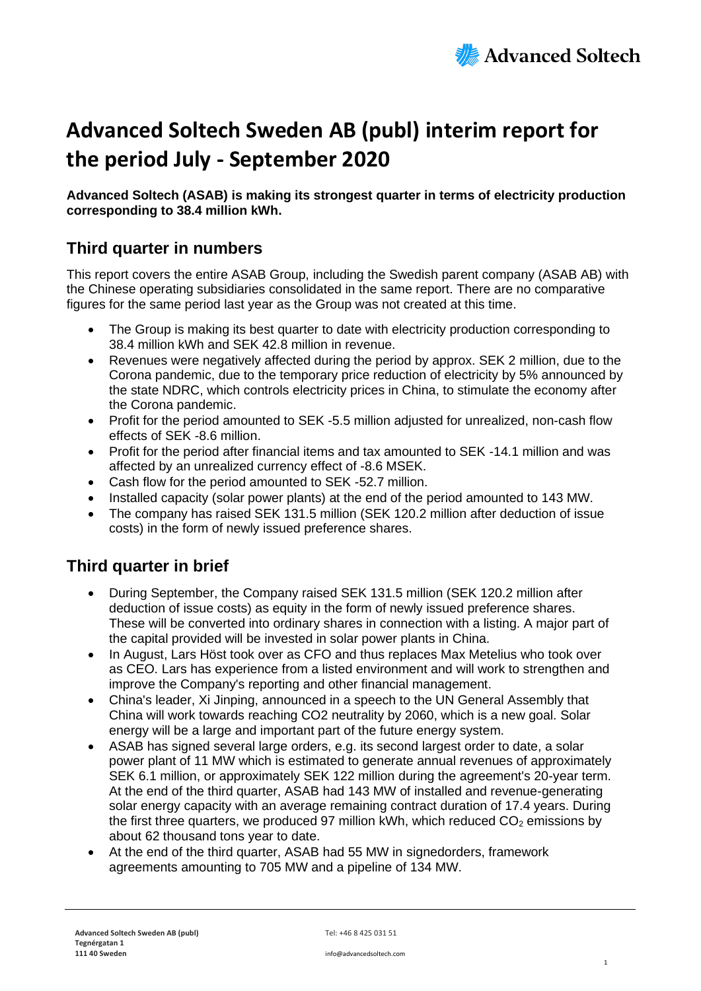

# **Advanced Soltech Sweden AB (publ) interim report for the period July - September 2020**

**Advanced Soltech (ASAB) is making its strongest quarter in terms of electricity production corresponding to 38.4 million kWh.**

### **Third quarter in numbers**

This report covers the entire ASAB Group, including the Swedish parent company (ASAB AB) with the Chinese operating subsidiaries consolidated in the same report. There are no comparative figures for the same period last year as the Group was not created at this time.

- The Group is making its best quarter to date with electricity production corresponding to 38.4 million kWh and SEK 42.8 million in revenue.
- Revenues were negatively affected during the period by approx. SEK 2 million, due to the Corona pandemic, due to the temporary price reduction of electricity by 5% announced by the state NDRC, which controls electricity prices in China, to stimulate the economy after the Corona pandemic.
- Profit for the period amounted to SEK -5.5 million adjusted for unrealized, non-cash flow effects of SEK -8.6 million.
- Profit for the period after financial items and tax amounted to SEK -14.1 million and was affected by an unrealized currency effect of -8.6 MSEK.
- Cash flow for the period amounted to SEK -52.7 million.
- Installed capacity (solar power plants) at the end of the period amounted to 143 MW.
- The company has raised SEK 131.5 million (SEK 120.2 million after deduction of issue costs) in the form of newly issued preference shares.

### **Third quarter in brief**

- During September, the Company raised SEK 131.5 million (SEK 120.2 million after deduction of issue costs) as equity in the form of newly issued preference shares. These will be converted into ordinary shares in connection with a listing. A major part of the capital provided will be invested in solar power plants in China.
- In August, Lars Höst took over as CFO and thus replaces Max Metelius who took over as CEO. Lars has experience from a listed environment and will work to strengthen and improve the Company's reporting and other financial management.
- China's leader, Xi Jinping, announced in a speech to the UN General Assembly that China will work towards reaching CO2 neutrality by 2060, which is a new goal. Solar energy will be a large and important part of the future energy system.
- ASAB has signed several large orders, e.g. its second largest order to date, a solar power plant of 11 MW which is estimated to generate annual revenues of approximately SEK 6.1 million, or approximately SEK 122 million during the agreement's 20-year term. At the end of the third quarter, ASAB had 143 MW of installed and revenue-generating solar energy capacity with an average remaining contract duration of 17.4 years. During the first three quarters, we produced 97 million kWh, which reduced  $CO<sub>2</sub>$  emissions by about 62 thousand tons year to date.
- At the end of the third quarter, ASAB had 55 MW in signedorders, framework agreements amounting to 705 MW and a pipeline of 134 MW.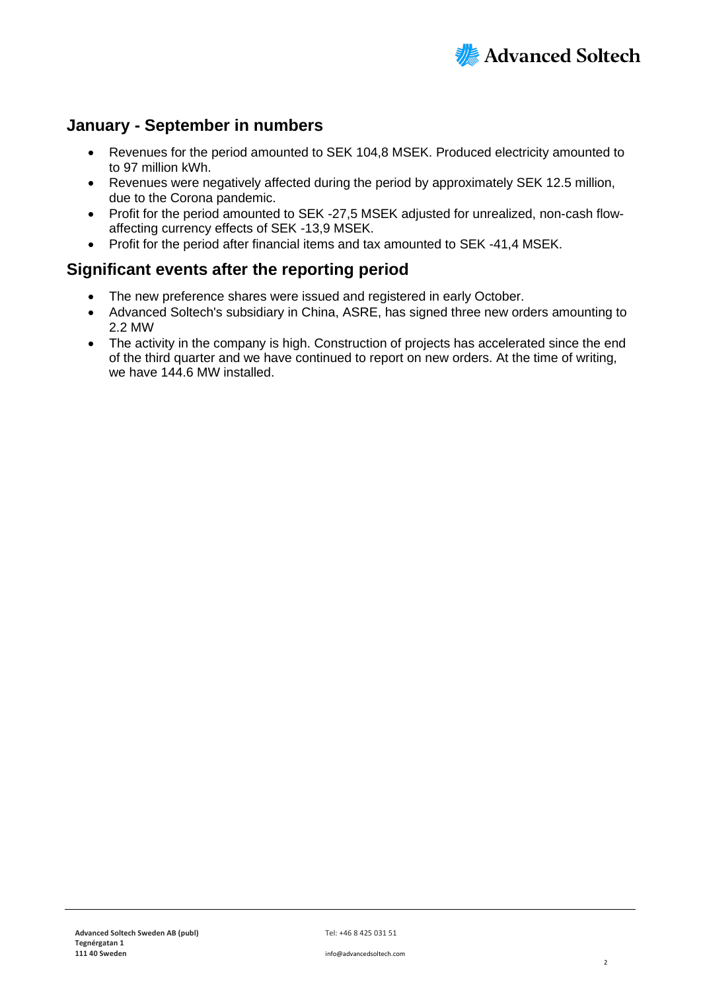

### **January - September in numbers**

- Revenues for the period amounted to SEK 104,8 MSEK. Produced electricity amounted to to 97 million kWh.
- Revenues were negatively affected during the period by approximately SEK 12.5 million, due to the Corona pandemic.
- Profit for the period amounted to SEK -27,5 MSEK adjusted for unrealized, non-cash flowaffecting currency effects of SEK -13,9 MSEK.
- Profit for the period after financial items and tax amounted to SEK -41,4 MSEK.

#### **Significant events after the reporting period**

- The new preference shares were issued and registered in early October.
- Advanced Soltech's subsidiary in China, ASRE, has signed three new orders amounting to 2.2 MW
- The activity in the company is high. Construction of projects has accelerated since the end of the third quarter and we have continued to report on new orders. At the time of writing, we have 144.6 MW installed.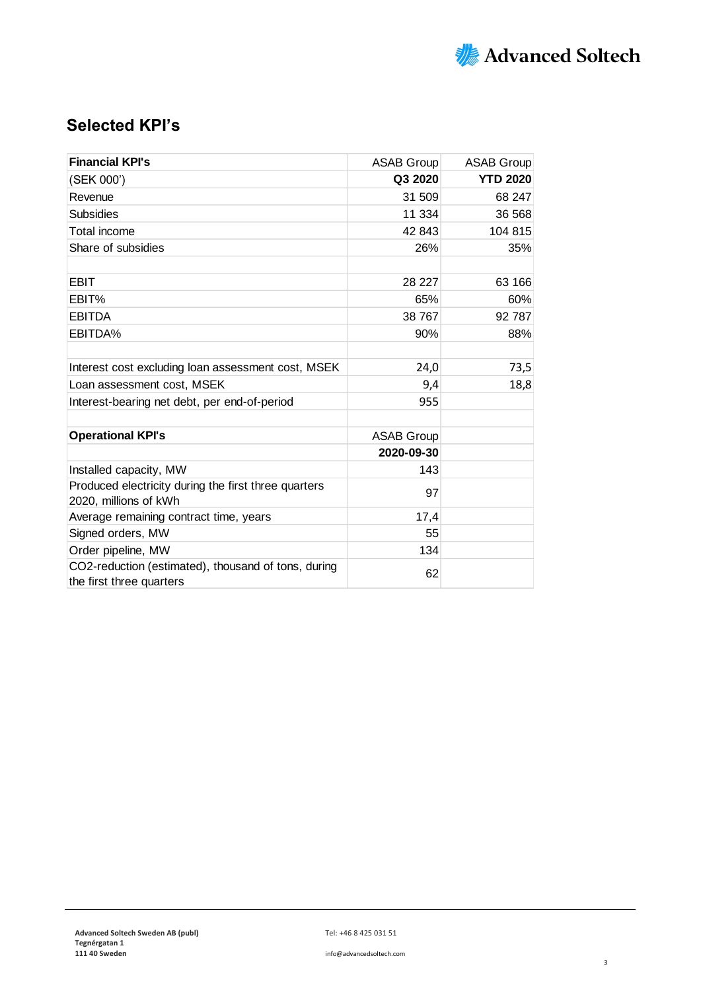

### **Selected KPI's**

| <b>Financial KPI's</b>                                                          | <b>ASAB Group</b> | <b>ASAB Group</b> |
|---------------------------------------------------------------------------------|-------------------|-------------------|
| (SEK 000')                                                                      | Q3 2020           | <b>YTD 2020</b>   |
| Revenue                                                                         | 31 509            | 68 247            |
| <b>Subsidies</b>                                                                | 11 334            | 36 568            |
| Total income                                                                    | 42 843            | 104 815           |
| Share of subsidies                                                              | 26%               | 35%               |
|                                                                                 |                   |                   |
| <b>EBIT</b>                                                                     | 28 227            | 63 166            |
| EBIT%                                                                           | 65%               | 60%               |
| <b>EBITDA</b><br>38 767                                                         |                   | 92 787            |
| EBITDA%                                                                         |                   | 88%               |
|                                                                                 |                   |                   |
| Interest cost excluding loan assessment cost, MSEK                              | 24,0              | 73,5              |
| Loan assessment cost, MSEK                                                      | 9,4               | 18,8              |
| Interest-bearing net debt, per end-of-period                                    | 955               |                   |
|                                                                                 |                   |                   |
| <b>Operational KPI's</b>                                                        | <b>ASAB Group</b> |                   |
|                                                                                 | 2020-09-30        |                   |
| Installed capacity, MW                                                          | 143               |                   |
| Produced electricity during the first three quarters<br>2020, millions of kWh   | 97                |                   |
| Average remaining contract time, years                                          | 17,4              |                   |
| Signed orders, MW                                                               | 55                |                   |
| Order pipeline, MW                                                              | 134               |                   |
| CO2-reduction (estimated), thousand of tons, during<br>the first three quarters | 62                |                   |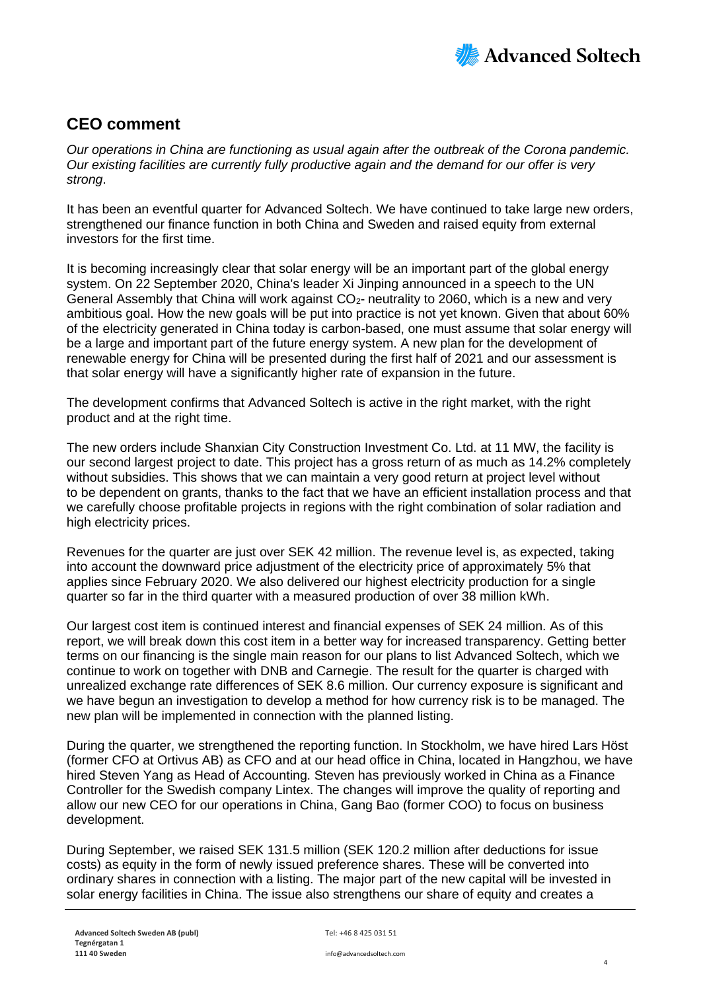

### **CEO comment**

*Our operations in China are functioning as usual again after the outbreak of the Corona pandemic. Our existing facilities are currently fully productive again and the demand for our offer is very strong*.

It has been an eventful quarter for Advanced Soltech. We have continued to take large new orders, strengthened our finance function in both China and Sweden and raised equity from external investors for the first time.

It is becoming increasingly clear that solar energy will be an important part of the global energy system. On 22 September 2020, China's leader Xi Jinping announced in a speech to the UN General Assembly that China will work against  $CO<sub>2</sub>$ - neutrality to 2060, which is a new and very ambitious goal. How the new goals will be put into practice is not yet known. Given that about 60% of the electricity generated in China today is carbon-based, one must assume that solar energy will be a large and important part of the future energy system. A new plan for the development of renewable energy for China will be presented during the first half of 2021 and our assessment is that solar energy will have a significantly higher rate of expansion in the future.

The development confirms that Advanced Soltech is active in the right market, with the right product and at the right time.

The new orders include Shanxian City Construction Investment Co. Ltd. at 11 MW, the facility is our second largest project to date. This project has a gross return of as much as 14.2% completely without subsidies. This shows that we can maintain a very good return at project level without to be dependent on grants, thanks to the fact that we have an efficient installation process and that we carefully choose profitable projects in regions with the right combination of solar radiation and high electricity prices.

Revenues for the quarter are just over SEK 42 million. The revenue level is, as expected, taking into account the downward price adjustment of the electricity price of approximately 5% that applies since February 2020. We also delivered our highest electricity production for a single quarter so far in the third quarter with a measured production of over 38 million kWh.

Our largest cost item is continued interest and financial expenses of SEK 24 million. As of this report, we will break down this cost item in a better way for increased transparency. Getting better terms on our financing is the single main reason for our plans to list Advanced Soltech, which we continue to work on together with DNB and Carnegie. The result for the quarter is charged with unrealized exchange rate differences of SEK 8.6 million. Our currency exposure is significant and we have begun an investigation to develop a method for how currency risk is to be managed. The new plan will be implemented in connection with the planned listing.

During the quarter, we strengthened the reporting function. In Stockholm, we have hired Lars Höst (former CFO at Ortivus AB) as CFO and at our head office in China, located in Hangzhou, we have hired Steven Yang as Head of Accounting. Steven has previously worked in China as a Finance Controller for the Swedish company Lintex. The changes will improve the quality of reporting and allow our new CEO for our operations in China, Gang Bao (former COO) to focus on business development.

During September, we raised SEK 131.5 million (SEK 120.2 million after deductions for issue costs) as equity in the form of newly issued preference shares. These will be converted into ordinary shares in connection with a listing. The major part of the new capital will be invested in solar energy facilities in China. The issue also strengthens our share of equity and creates a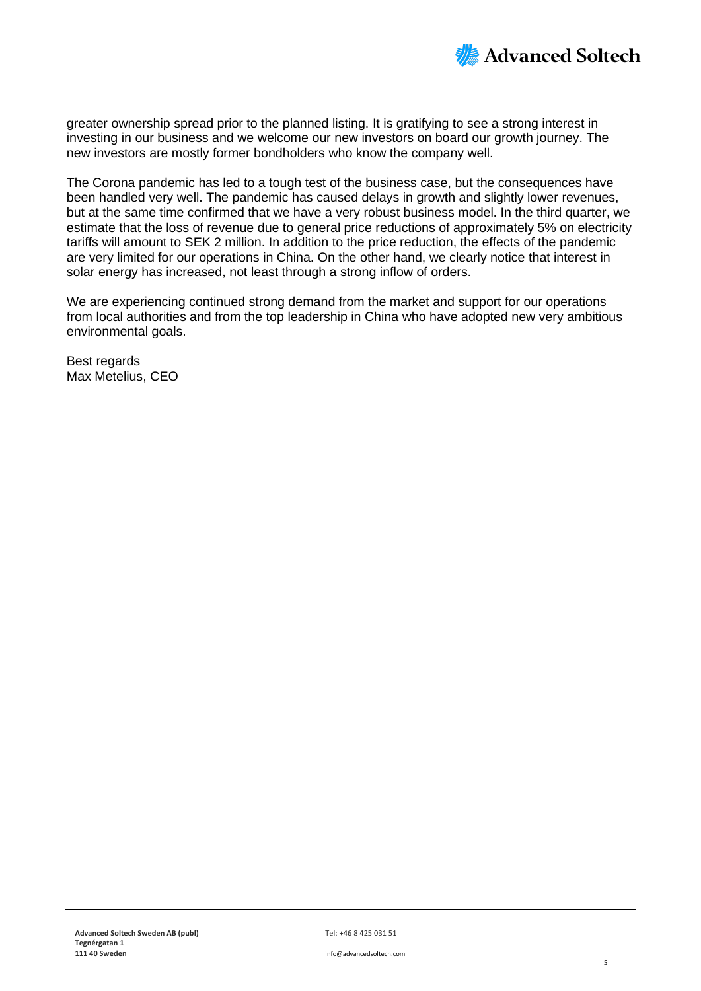

greater ownership spread prior to the planned listing. It is gratifying to see a strong interest in investing in our business and we welcome our new investors on board our growth journey. The new investors are mostly former bondholders who know the company well.

The Corona pandemic has led to a tough test of the business case, but the consequences have been handled very well. The pandemic has caused delays in growth and slightly lower revenues, but at the same time confirmed that we have a very robust business model. In the third quarter, we estimate that the loss of revenue due to general price reductions of approximately 5% on electricity tariffs will amount to SEK 2 million. In addition to the price reduction, the effects of the pandemic are very limited for our operations in China. On the other hand, we clearly notice that interest in solar energy has increased, not least through a strong inflow of orders.

We are experiencing continued strong demand from the market and support for our operations from local authorities and from the top leadership in China who have adopted new very ambitious environmental goals.

Best regards Max Metelius, CEO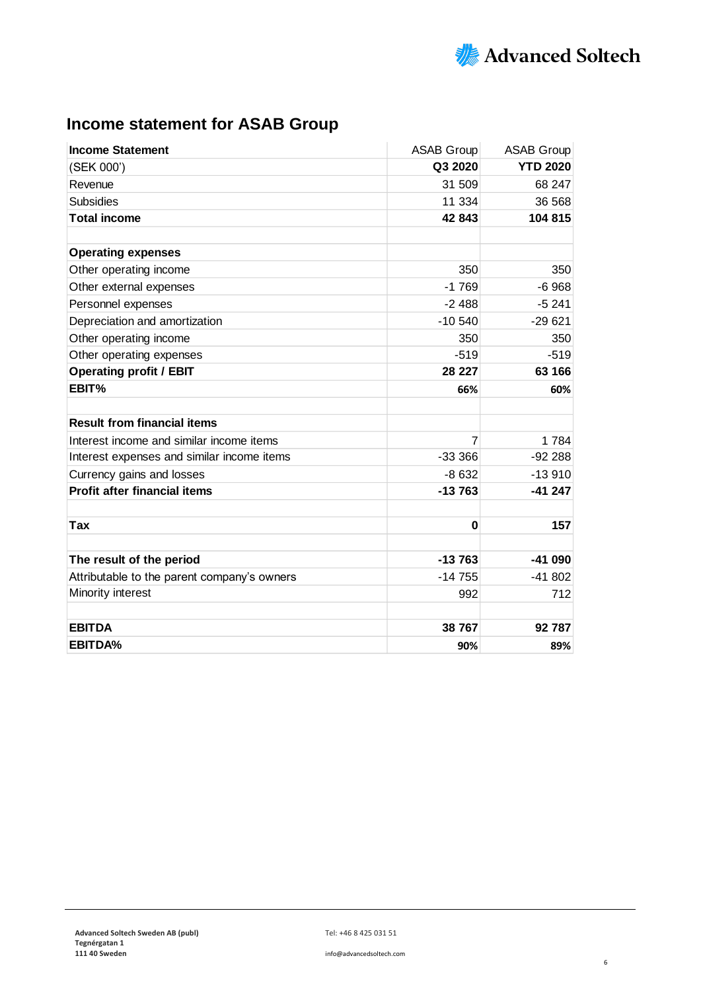

# **Income statement for ASAB Group**

| <b>Income Statement</b>                     | <b>ASAB Group</b> | <b>ASAB Group</b> |
|---------------------------------------------|-------------------|-------------------|
| (SEK 000')                                  | Q3 2020           | <b>YTD 2020</b>   |
| Revenue                                     | 31 509            | 68 247            |
| <b>Subsidies</b>                            | 11 334            | 36 568            |
| <b>Total income</b>                         | 42 843            | 104 815           |
| <b>Operating expenses</b>                   |                   |                   |
| Other operating income                      | 350               | 350               |
| Other external expenses                     | $-1769$           | $-6968$           |
| Personnel expenses                          | $-2488$           | $-5241$           |
| Depreciation and amortization               | $-10540$          | $-29621$          |
| Other operating income                      | 350               | 350               |
| Other operating expenses                    | $-519$            | $-519$            |
| <b>Operating profit / EBIT</b>              | 28 227            | 63 166            |
| EBIT%                                       | 66%               | 60%               |
|                                             |                   |                   |
| <b>Result from financial items</b>          |                   |                   |
| Interest income and similar income items    | 7                 | 1784              |
| Interest expenses and similar income items  | $-33366$          | $-92288$          |
| Currency gains and losses                   | $-8632$           | $-13910$          |
| <b>Profit after financial items</b>         | $-13763$          | $-41247$          |
| Tax                                         | $\bf{0}$          | 157               |
|                                             |                   |                   |
| The result of the period                    | $-13763$          | $-41090$          |
| Attributable to the parent company's owners | $-14755$          | $-41802$          |
| Minority interest                           | 992               | 712               |
| <b>EBITDA</b>                               | 38 767            | 92 787            |
| <b>EBITDA%</b>                              | 90%               | 89%               |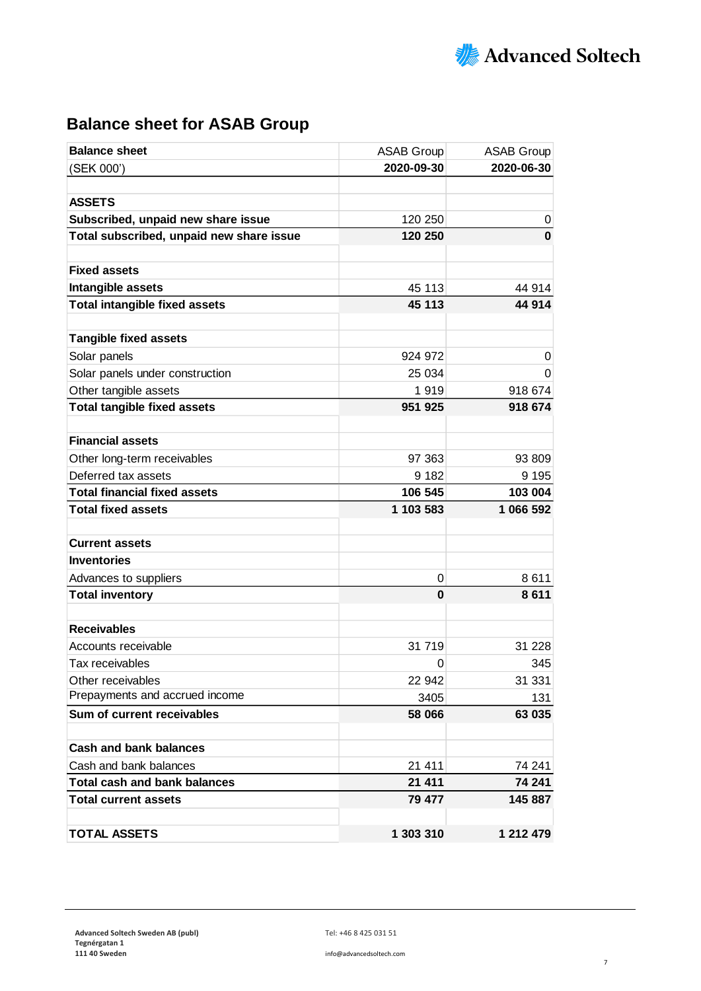

# **Balance sheet for ASAB Group**

| <b>Balance sheet</b>                     | <b>ASAB Group</b> | <b>ASAB Group</b> |
|------------------------------------------|-------------------|-------------------|
| (SEK 000')                               | 2020-09-30        | 2020-06-30        |
|                                          |                   |                   |
| <b>ASSETS</b>                            |                   |                   |
| Subscribed, unpaid new share issue       | 120 250           | 0                 |
| Total subscribed, unpaid new share issue | 120 250           | $\bf{0}$          |
|                                          |                   |                   |
| <b>Fixed assets</b>                      |                   |                   |
| Intangible assets                        | 45 113            | 44 914            |
| <b>Total intangible fixed assets</b>     | 45 113            | 44 914            |
| <b>Tangible fixed assets</b>             |                   |                   |
| Solar panels                             | 924 972           | 0                 |
| Solar panels under construction          | 25 034            | 0                 |
| Other tangible assets                    | 1919              | 918 674           |
| <b>Total tangible fixed assets</b>       | 951 925           | 918 674           |
|                                          |                   |                   |
| <b>Financial assets</b>                  |                   |                   |
| Other long-term receivables              | 97 363            | 93 809            |
| Deferred tax assets                      | 9 1 8 2           | 9 1 9 5           |
| <b>Total financial fixed assets</b>      | 106 545           | 103 004           |
| <b>Total fixed assets</b>                | 1 103 583         | 1 066 592         |
| <b>Current assets</b>                    |                   |                   |
| <b>Inventories</b>                       |                   |                   |
| Advances to suppliers                    | 0                 | 8611              |
| <b>Total inventory</b>                   | 0                 | 8611              |
|                                          |                   |                   |
| <b>Receivables</b>                       |                   |                   |
| Accounts receivable                      | 31 719            | 31 2 28           |
| Tax receivables                          | 0                 | 345               |
| Other receivables                        | 22 942            | 31 331            |
| Prepayments and accrued income           | 3405              | 131               |
| Sum of current receivables               | 58 066            | 63 035            |
| <b>Cash and bank balances</b>            |                   |                   |
| Cash and bank balances                   | 21 411            | 74 241            |
| <b>Total cash and bank balances</b>      | 21 411            | 74 241            |
| <b>Total current assets</b>              | 79 477            | 145 887           |
|                                          |                   |                   |
| <b>TOTAL ASSETS</b>                      | 1 303 310         | 1 212 479         |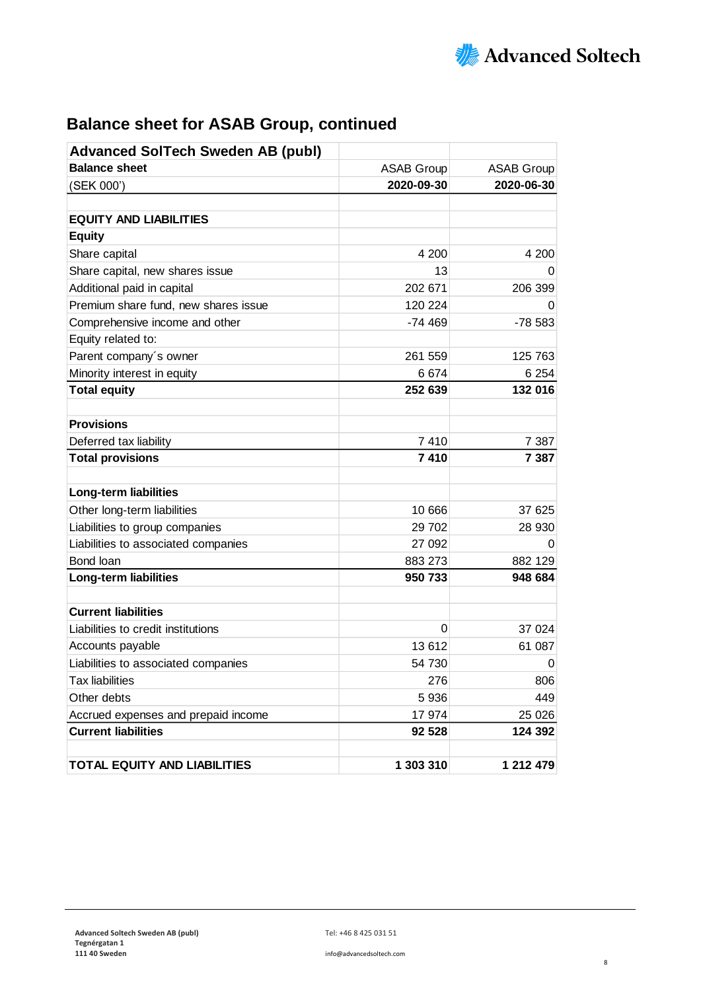

| <b>Balance sheet for ASAB Group, continued</b> |  |  |  |
|------------------------------------------------|--|--|--|
|------------------------------------------------|--|--|--|

| <b>Advanced SolTech Sweden AB (publ)</b> |                   |                   |
|------------------------------------------|-------------------|-------------------|
| <b>Balance sheet</b>                     | <b>ASAB Group</b> | <b>ASAB Group</b> |
| (SEK 000')                               | 2020-09-30        | 2020-06-30        |
|                                          |                   |                   |
| <b>EQUITY AND LIABILITIES</b>            |                   |                   |
| <b>Equity</b>                            |                   |                   |
| Share capital                            | 4 200             | 4 200             |
| Share capital, new shares issue          | 13                | 0                 |
| Additional paid in capital               | 202 671           | 206 399           |
| Premium share fund, new shares issue     | 120 224           |                   |
| Comprehensive income and other           | $-74469$          | -78 583           |
| Equity related to:                       |                   |                   |
| Parent company's owner                   | 261 559           | 125 763           |
| Minority interest in equity              | 6674              | 6 2 5 4           |
| <b>Total equity</b>                      | 252 639           | 132 016           |
|                                          |                   |                   |
| <b>Provisions</b>                        |                   |                   |
| Deferred tax liability                   | 7 4 1 0           | 7 3 8 7           |
| <b>Total provisions</b>                  | 7410              | 7 3 8 7           |
|                                          |                   |                   |
| Long-term liabilities                    |                   |                   |
| Other long-term liabilities              | 10 666            | 37 625            |
| Liabilities to group companies           | 29 702            | 28 930            |
| Liabilities to associated companies      | 27 092            | $\Omega$          |
| Bond loan                                | 883 273           | 882 129           |
| Long-term liabilities                    | 950 733           | 948 684           |
|                                          |                   |                   |
| <b>Current liabilities</b>               |                   |                   |
| Liabilities to credit institutions       | 0                 | 37 0 24           |
| Accounts payable                         | 13612             | 61 087            |
| Liabilities to associated companies      | 54 730            | 0                 |
| <b>Tax liabilities</b>                   | 276               | 806               |
| Other debts                              | 5 9 3 6           | 449               |
| Accrued expenses and prepaid income      | 17 974            | 25 0 26           |
| <b>Current liabilities</b>               | 92 528            | 124 392           |
|                                          |                   |                   |
| <b>TOTAL EQUITY AND LIABILITIES</b>      | 1 303 310         | 1 212 479         |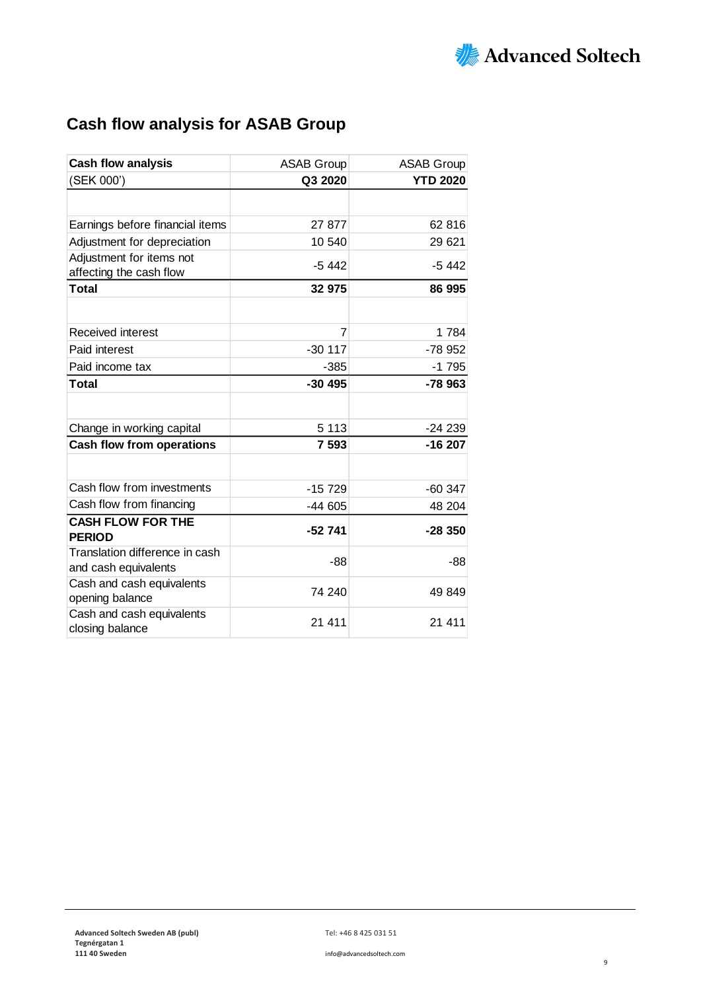

# **Cash flow analysis for ASAB Group**

| <b>Cash flow analysis</b>        | <b>ASAB Group</b> | <b>ASAB Group</b> |
|----------------------------------|-------------------|-------------------|
| (SEK 000')                       | Q3 2020           | <b>YTD 2020</b>   |
|                                  |                   |                   |
| Earnings before financial items  | 27 877            | 62 816            |
| Adjustment for depreciation      | 10 540            | 29 621            |
| Adjustment for items not         |                   |                   |
| affecting the cash flow          | $-5442$           | -5 442            |
| <b>Total</b>                     | 32 975            | 86 995            |
|                                  |                   |                   |
| Received interest                | 7                 | 1784              |
| Paid interest                    | $-30117$          | $-78952$          |
| Paid income tax                  | $-385$            | $-1795$           |
| Total                            | $-30495$          | $-78963$          |
|                                  |                   |                   |
| Change in working capital        | 5 1 1 3           | $-24239$          |
| <b>Cash flow from operations</b> | 7 5 9 3           | $-16207$          |
|                                  |                   |                   |
| Cash flow from investments       | $-15729$          | $-60347$          |
| Cash flow from financing         | $-44605$          | 48 204            |
| <b>CASH FLOW FOR THE</b>         |                   |                   |
| <b>PERIOD</b>                    | $-52741$          | $-28350$          |
| Translation difference in cash   | -88               | $-88$             |
| and cash equivalents             |                   |                   |
| Cash and cash equivalents        | 74 240            | 49 849            |
| opening balance                  |                   |                   |
| Cash and cash equivalents        | 21 411            | 21 411            |
| closing balance                  |                   |                   |

**111 40 Sweden** info@advancedsoltech.com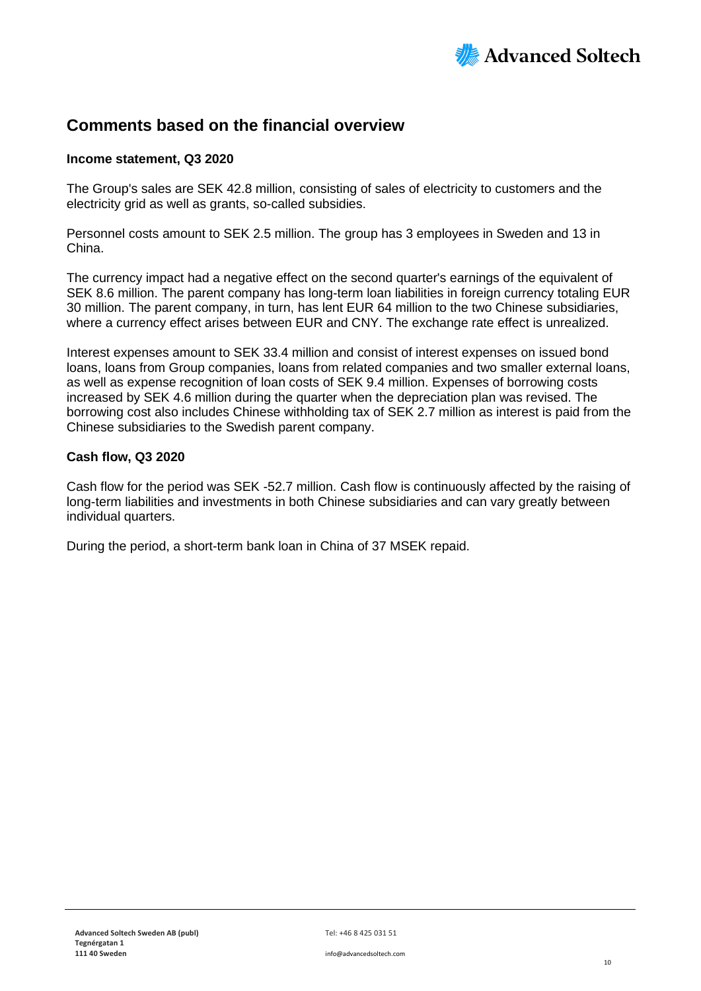

### **Comments based on the financial overview**

#### **Income statement, Q3 2020**

The Group's sales are SEK 42.8 million, consisting of sales of electricity to customers and the electricity grid as well as grants, so-called subsidies.

Personnel costs amount to SEK 2.5 million. The group has 3 employees in Sweden and 13 in China.

The currency impact had a negative effect on the second quarter's earnings of the equivalent of SEK 8.6 million. The parent company has long-term loan liabilities in foreign currency totaling EUR 30 million. The parent company, in turn, has lent EUR 64 million to the two Chinese subsidiaries, where a currency effect arises between EUR and CNY. The exchange rate effect is unrealized.

Interest expenses amount to SEK 33.4 million and consist of interest expenses on issued bond loans, loans from Group companies, loans from related companies and two smaller external loans, as well as expense recognition of loan costs of SEK 9.4 million. Expenses of borrowing costs increased by SEK 4.6 million during the quarter when the depreciation plan was revised. The borrowing cost also includes Chinese withholding tax of SEK 2.7 million as interest is paid from the Chinese subsidiaries to the Swedish parent company.

#### **Cash flow, Q3 2020**

Cash flow for the period was SEK -52.7 million. Cash flow is continuously affected by the raising of long-term liabilities and investments in both Chinese subsidiaries and can vary greatly between individual quarters.

During the period, a short-term bank loan in China of 37 MSEK repaid.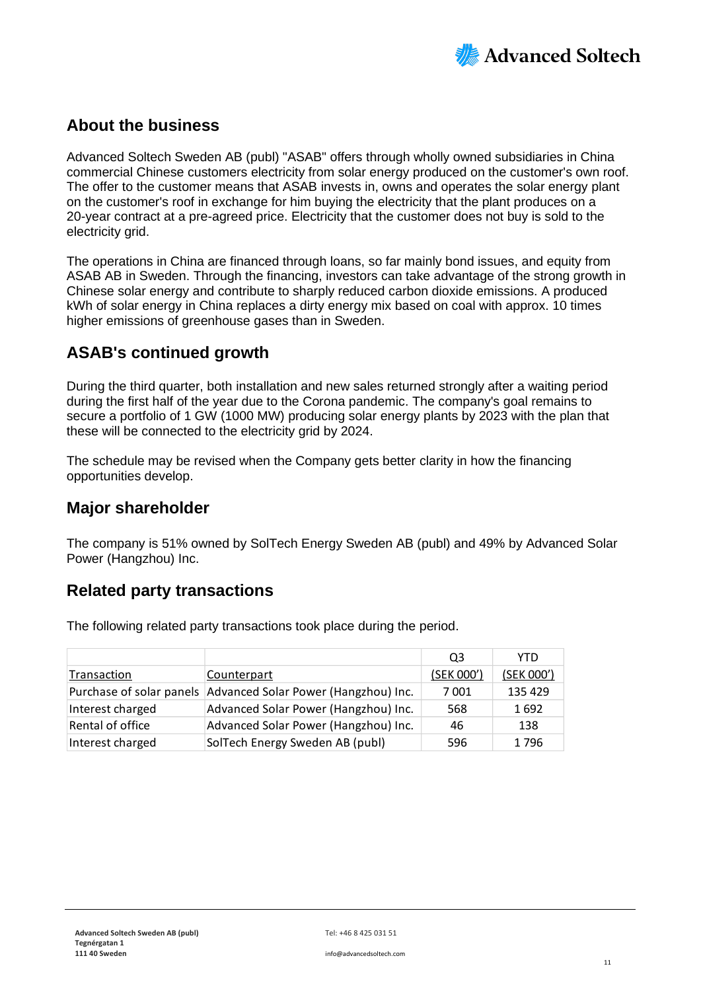

### **About the business**

Advanced Soltech Sweden AB (publ) "ASAB" offers through wholly owned subsidiaries in China commercial Chinese customers electricity from solar energy produced on the customer's own roof. The offer to the customer means that ASAB invests in, owns and operates the solar energy plant on the customer's roof in exchange for him buying the electricity that the plant produces on a 20-year contract at a pre-agreed price. Electricity that the customer does not buy is sold to the electricity grid.

The operations in China are financed through loans, so far mainly bond issues, and equity from ASAB AB in Sweden. Through the financing, investors can take advantage of the strong growth in Chinese solar energy and contribute to sharply reduced carbon dioxide emissions. A produced kWh of solar energy in China replaces a dirty energy mix based on coal with approx. 10 times higher emissions of greenhouse gases than in Sweden.

### **ASAB's continued growth**

During the third quarter, both installation and new sales returned strongly after a waiting period during the first half of the year due to the Corona pandemic. The company's goal remains to secure a portfolio of 1 GW (1000 MW) producing solar energy plants by 2023 with the plan that these will be connected to the electricity grid by 2024.

The schedule may be revised when the Company gets better clarity in how the financing opportunities develop.

### **Major shareholder**

The company is 51% owned by SolTech Energy Sweden AB (publ) and 49% by Advanced Solar Power (Hangzhou) Inc.

### **Related party transactions**

The following related party transactions took place during the period.

|                  |                                                               | Q3         | YTD.       |
|------------------|---------------------------------------------------------------|------------|------------|
| Transaction      | Counterpart                                                   | (SEK 000') | (SEK 000') |
|                  | Purchase of solar panels Advanced Solar Power (Hangzhou) Inc. | 7001       | 135 429    |
| Interest charged | Advanced Solar Power (Hangzhou) Inc.                          | 568        | 1692       |
| Rental of office | Advanced Solar Power (Hangzhou) Inc.                          | 46         | 138        |
| Interest charged | SolTech Energy Sweden AB (publ)                               | 596        | 1796       |